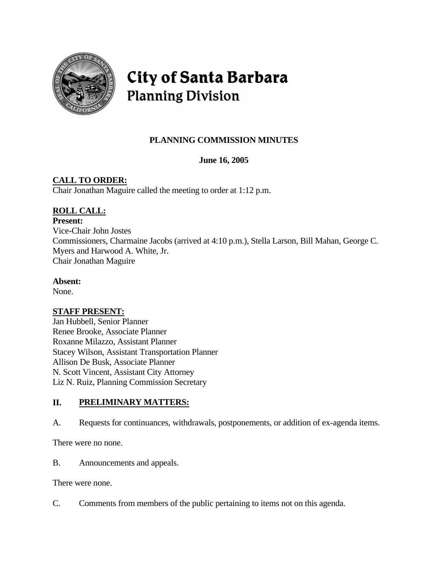

# City of Santa Barbara **Planning Division**

# **PLANNING COMMISSION MINUTES**

# **June 16, 2005**

# **CALL TO ORDER:**

Chair Jonathan Maguire called the meeting to order at 1:12 p.m.

# **ROLL CALL:**

#### **Present:**

Vice-Chair John Jostes Commissioners, Charmaine Jacobs (arrived at 4:10 p.m.), Stella Larson, Bill Mahan, George C. Myers and Harwood A. White, Jr. Chair Jonathan Maguire

### **Absent:**

None.

### **STAFF PRESENT:**

Jan Hubbell, Senior Planner Renee Brooke, Associate Planner Roxanne Milazzo, Assistant Planner Stacey Wilson, Assistant Transportation Planner Allison De Busk, Associate Planner N. Scott Vincent, Assistant City Attorney Liz N. Ruiz, Planning Commission Secretary

# **II. PRELIMINARY MATTERS:**

A. Requests for continuances, withdrawals, postponements, or addition of ex-agenda items.

There were no none.

B. Announcements and appeals.

There were none.

C. Comments from members of the public pertaining to items not on this agenda.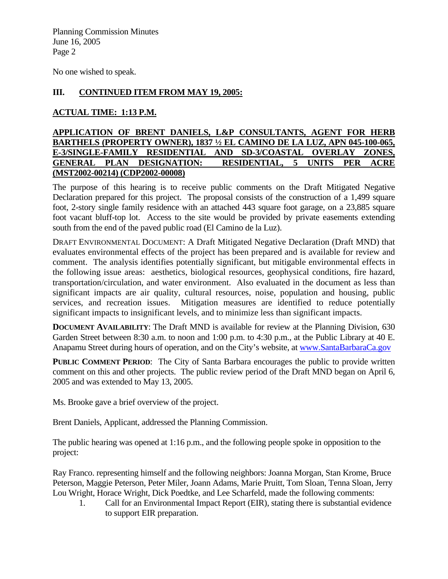No one wished to speak.

#### **III. CONTINUED ITEM FROM MAY 19, 2005:**

### **ACTUAL TIME: 1:13 P.M.**

#### **APPLICATION OF BRENT DANIELS, L&P CONSULTANTS, AGENT FOR HERB BARTHELS (PROPERTY OWNER), 1837 ½ EL CAMINO DE LA LUZ, APN 045-100-065, E-3/SINGLE-FAMILY RESIDENTIAL AND SD-3/COASTAL OVERLAY ZONES, GENERAL PLAN DESIGNATION: RESIDENTIAL, 5 UNITS PER ACRE (MST2002-00214) (CDP2002-00008)**

The purpose of this hearing is to receive public comments on the Draft Mitigated Negative Declaration prepared for this project. The proposal consists of the construction of a 1,499 square foot, 2-story single family residence with an attached 443 square foot garage, on a 23,885 square foot vacant bluff-top lot. Access to the site would be provided by private easements extending south from the end of the paved public road (El Camino de la Luz).

DRAFT ENVIRONMENTAL DOCUMENT: A Draft Mitigated Negative Declaration (Draft MND) that evaluates environmental effects of the project has been prepared and is available for review and comment. The analysis identifies potentially significant, but mitigable environmental effects in the following issue areas: aesthetics, biological resources, geophysical conditions, fire hazard, transportation/circulation, and water environment. Also evaluated in the document as less than significant impacts are air quality, cultural resources, noise, population and housing, public services, and recreation issues. Mitigation measures are identified to reduce potentially significant impacts to insignificant levels, and to minimize less than significant impacts.

**DOCUMENT AVAILABILITY:** The Draft MND is available for review at the Planning Division, 630 Garden Street between 8:30 a.m. to noon and 1:00 p.m. to 4:30 p.m., at the Public Library at 40 E. Anapamu Street during hours of operation, and on the City's website, at [www.SantaBarbaraCa.gov](http://www.santabarbaraca.gov/)

**PUBLIC COMMENT PERIOD**: The City of Santa Barbara encourages the public to provide written comment on this and other projects. The public review period of the Draft MND began on April 6, 2005 and was extended to May 13, 2005.

Ms. Brooke gave a brief overview of the project.

Brent Daniels, Applicant, addressed the Planning Commission.

The public hearing was opened at 1:16 p.m., and the following people spoke in opposition to the project:

Ray Franco. representing himself and the following neighbors: Joanna Morgan, Stan Krome, Bruce Peterson, Maggie Peterson, Peter Miler, Joann Adams, Marie Pruitt, Tom Sloan, Tenna Sloan, Jerry Lou Wright, Horace Wright, Dick Poedtke, and Lee Scharfeld, made the following comments:

1. Call for an Environmental Impact Report (EIR), stating there is substantial evidence to support EIR preparation.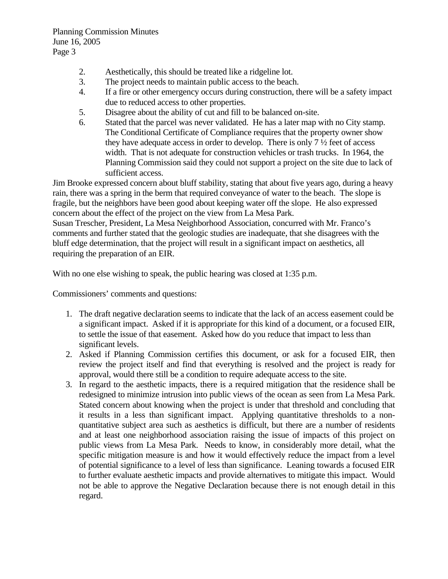- 2. Aesthetically, this should be treated like a ridgeline lot.
- 3. The project needs to maintain public access to the beach.
- 4. If a fire or other emergency occurs during construction, there will be a safety impact due to reduced access to other properties.
- 5. Disagree about the ability of cut and fill to be balanced on-site.
- 6. Stated that the parcel was never validated. He has a later map with no City stamp. The Conditional Certificate of Compliance requires that the property owner show they have adequate access in order to develop. There is only 7 ½ feet of access width. That is not adequate for construction vehicles or trash trucks. In 1964, the Planning Commission said they could not support a project on the site due to lack of sufficient access.

Jim Brooke expressed concern about bluff stability, stating that about five years ago, during a heavy rain, there was a spring in the berm that required conveyance of water to the beach. The slope is fragile, but the neighbors have been good about keeping water off the slope. He also expressed concern about the effect of the project on the view from La Mesa Park.

Susan Trescher, President, La Mesa Neighborhood Association, concurred with Mr. Franco's comments and further stated that the geologic studies are inadequate, that she disagrees with the bluff edge determination, that the project will result in a significant impact on aesthetics, all requiring the preparation of an EIR.

With no one else wishing to speak, the public hearing was closed at 1:35 p.m.

Commissioners' comments and questions:

- 1. The draft negative declaration seems to indicate that the lack of an access easement could be a significant impact. Asked if it is appropriate for this kind of a document, or a focused EIR, to settle the issue of that easement. Asked how do you reduce that impact to less than significant levels.
- 2. Asked if Planning Commission certifies this document, or ask for a focused EIR, then review the project itself and find that everything is resolved and the project is ready for approval, would there still be a condition to require adequate access to the site.
- 3. In regard to the aesthetic impacts, there is a required mitigation that the residence shall be redesigned to minimize intrusion into public views of the ocean as seen from La Mesa Park. Stated concern about knowing when the project is under that threshold and concluding that it results in a less than significant impact. Applying quantitative thresholds to a nonquantitative subject area such as aesthetics is difficult, but there are a number of residents and at least one neighborhood association raising the issue of impacts of this project on public views from La Mesa Park. Needs to know, in considerably more detail, what the specific mitigation measure is and how it would effectively reduce the impact from a level of potential significance to a level of less than significance. Leaning towards a focused EIR to further evaluate aesthetic impacts and provide alternatives to mitigate this impact. Would not be able to approve the Negative Declaration because there is not enough detail in this regard.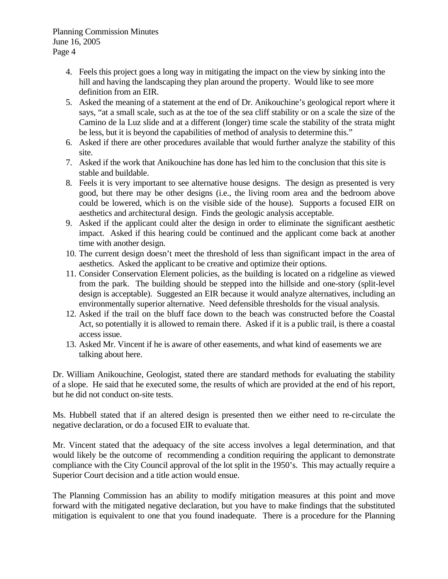- 4. Feels this project goes a long way in mitigating the impact on the view by sinking into the hill and having the landscaping they plan around the property. Would like to see more definition from an EIR.
- 5. Asked the meaning of a statement at the end of Dr. Anikouchine's geological report where it says, "at a small scale, such as at the toe of the sea cliff stability or on a scale the size of the Camino de la Luz slide and at a different (longer) time scale the stability of the strata might be less, but it is beyond the capabilities of method of analysis to determine this."
- 6. Asked if there are other procedures available that would further analyze the stability of this site.
- 7. Asked if the work that Anikouchine has done has led him to the conclusion that this site is stable and buildable.
- 8. Feels it is very important to see alternative house designs. The design as presented is very good, but there may be other designs (i.e., the living room area and the bedroom above could be lowered, which is on the visible side of the house). Supports a focused EIR on aesthetics and architectural design. Finds the geologic analysis acceptable.
- 9. Asked if the applicant could alter the design in order to eliminate the significant aesthetic impact. Asked if this hearing could be continued and the applicant come back at another time with another design.
- 10. The current design doesn't meet the threshold of less than significant impact in the area of aesthetics. Asked the applicant to be creative and optimize their options.
- 11. Consider Conservation Element policies, as the building is located on a ridgeline as viewed from the park. The building should be stepped into the hillside and one-story (split-level design is acceptable). Suggested an EIR because it would analyze alternatives, including an environmentally superior alternative. Need defensible thresholds for the visual analysis.
- 12. Asked if the trail on the bluff face down to the beach was constructed before the Coastal Act, so potentially it is allowed to remain there. Asked if it is a public trail, is there a coastal access issue.
- 13. Asked Mr. Vincent if he is aware of other easements, and what kind of easements we are talking about here.

Dr. William Anikouchine, Geologist, stated there are standard methods for evaluating the stability of a slope. He said that he executed some, the results of which are provided at the end of his report, but he did not conduct on-site tests.

Ms. Hubbell stated that if an altered design is presented then we either need to re-circulate the negative declaration, or do a focused EIR to evaluate that.

Mr. Vincent stated that the adequacy of the site access involves a legal determination, and that would likely be the outcome of recommending a condition requiring the applicant to demonstrate compliance with the City Council approval of the lot split in the 1950's. This may actually require a Superior Court decision and a title action would ensue.

The Planning Commission has an ability to modify mitigation measures at this point and move forward with the mitigated negative declaration, but you have to make findings that the substituted mitigation is equivalent to one that you found inadequate. There is a procedure for the Planning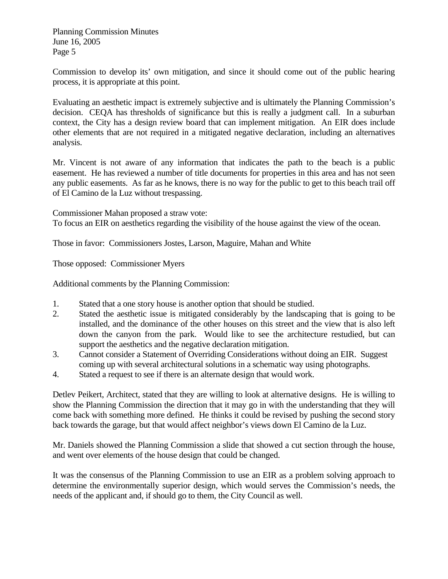Commission to develop its' own mitigation, and since it should come out of the public hearing process, it is appropriate at this point.

Evaluating an aesthetic impact is extremely subjective and is ultimately the Planning Commission's decision. CEQA has thresholds of significance but this is really a judgment call. In a suburban context, the City has a design review board that can implement mitigation. An EIR does include other elements that are not required in a mitigated negative declaration, including an alternatives analysis.

Mr. Vincent is not aware of any information that indicates the path to the beach is a public easement. He has reviewed a number of title documents for properties in this area and has not seen any public easements. As far as he knows, there is no way for the public to get to this beach trail off of El Camino de la Luz without trespassing.

Commissioner Mahan proposed a straw vote: To focus an EIR on aesthetics regarding the visibility of the house against the view of the ocean.

Those in favor: Commissioners Jostes, Larson, Maguire, Mahan and White

Those opposed: Commissioner Myers

Additional comments by the Planning Commission:

- 1. Stated that a one story house is another option that should be studied.
- 2. Stated the aesthetic issue is mitigated considerably by the landscaping that is going to be installed, and the dominance of the other houses on this street and the view that is also left down the canyon from the park. Would like to see the architecture restudied, but can support the aesthetics and the negative declaration mitigation.
- 3. Cannot consider a Statement of Overriding Considerations without doing an EIR. Suggest coming up with several architectural solutions in a schematic way using photographs.
- 4. Stated a request to see if there is an alternate design that would work.

Detlev Peikert, Architect, stated that they are willing to look at alternative designs. He is willing to show the Planning Commission the direction that it may go in with the understanding that they will come back with something more defined. He thinks it could be revised by pushing the second story back towards the garage, but that would affect neighbor's views down El Camino de la Luz.

Mr. Daniels showed the Planning Commission a slide that showed a cut section through the house, and went over elements of the house design that could be changed.

It was the consensus of the Planning Commission to use an EIR as a problem solving approach to determine the environmentally superior design, which would serves the Commission's needs, the needs of the applicant and, if should go to them, the City Council as well.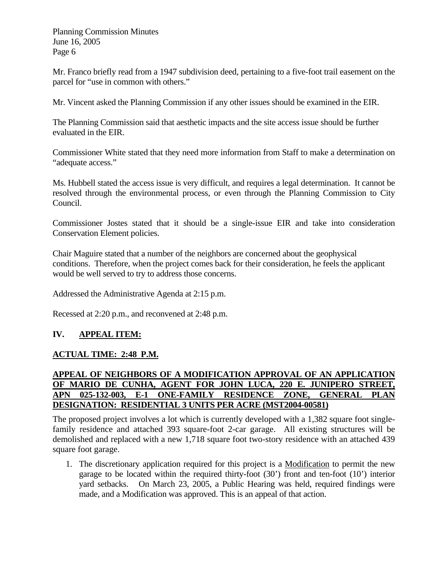Mr. Franco briefly read from a 1947 subdivision deed, pertaining to a five-foot trail easement on the parcel for "use in common with others."

Mr. Vincent asked the Planning Commission if any other issues should be examined in the EIR.

The Planning Commission said that aesthetic impacts and the site access issue should be further evaluated in the EIR.

Commissioner White stated that they need more information from Staff to make a determination on "adequate access."

Ms. Hubbell stated the access issue is very difficult, and requires a legal determination. It cannot be resolved through the environmental process, or even through the Planning Commission to City Council.

Commissioner Jostes stated that it should be a single-issue EIR and take into consideration Conservation Element policies.

Chair Maguire stated that a number of the neighbors are concerned about the geophysical conditions. Therefore, when the project comes back for their consideration, he feels the applicant would be well served to try to address those concerns.

Addressed the Administrative Agenda at 2:15 p.m.

Recessed at 2:20 p.m., and reconvened at 2:48 p.m.

### **IV. APPEAL ITEM:**

### **ACTUAL TIME: 2:48 P.M.**

#### **APPEAL OF NEIGHBORS OF A MODIFICATION APPROVAL OF AN APPLICATION OF MARIO DE CUNHA, AGENT FOR JOHN LUCA, 220 E. JUNIPERO STREET, APN 025-132-003, E-1 ONE-FAMILY RESIDENCE ZONE, GENERAL PLAN DESIGNATION: RESIDENTIAL 3 UNITS PER ACRE (MST2004-00581)**

The proposed project involves a lot which is currently developed with a 1,382 square foot singlefamily residence and attached 393 square-foot 2-car garage. All existing structures will be demolished and replaced with a new 1,718 square foot two-story residence with an attached 439 square foot garage.

1. The discretionary application required for this project is a Modification to permit the new garage to be located within the required thirty-foot (30') front and ten-foot (10') interior yard setbacks. On March 23, 2005, a Public Hearing was held, required findings were made, and a Modification was approved. This is an appeal of that action.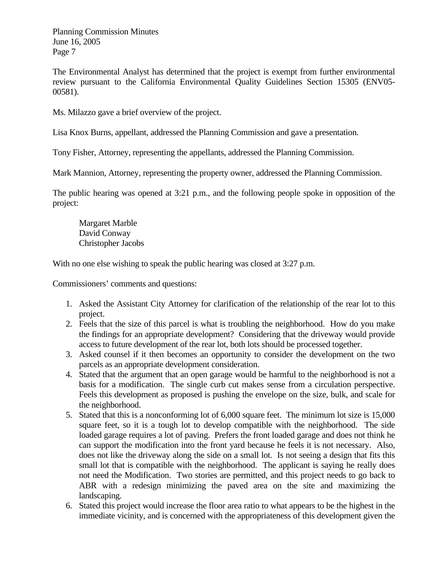The Environmental Analyst has determined that the project is exempt from further environmental review pursuant to the California Environmental Quality Guidelines Section 15305 (ENV05- 00581).

Ms. Milazzo gave a brief overview of the project.

Lisa Knox Burns, appellant, addressed the Planning Commission and gave a presentation.

Tony Fisher, Attorney, representing the appellants, addressed the Planning Commission.

Mark Mannion, Attorney, representing the property owner, addressed the Planning Commission.

The public hearing was opened at 3:21 p.m., and the following people spoke in opposition of the project:

Margaret Marble David Conway Christopher Jacobs

With no one else wishing to speak the public hearing was closed at 3:27 p.m.

Commissioners' comments and questions:

- 1. Asked the Assistant City Attorney for clarification of the relationship of the rear lot to this project.
- 2. Feels that the size of this parcel is what is troubling the neighborhood. How do you make the findings for an appropriate development? Considering that the driveway would provide access to future development of the rear lot, both lots should be processed together.
- 3. Asked counsel if it then becomes an opportunity to consider the development on the two parcels as an appropriate development consideration.
- 4. Stated that the argument that an open garage would be harmful to the neighborhood is not a basis for a modification. The single curb cut makes sense from a circulation perspective. Feels this development as proposed is pushing the envelope on the size, bulk, and scale for the neighborhood.
- 5. Stated that this is a nonconforming lot of 6,000 square feet. The minimum lot size is 15,000 square feet, so it is a tough lot to develop compatible with the neighborhood. The side loaded garage requires a lot of paving. Prefers the front loaded garage and does not think he can support the modification into the front yard because he feels it is not necessary. Also, does not like the driveway along the side on a small lot. Is not seeing a design that fits this small lot that is compatible with the neighborhood. The applicant is saying he really does not need the Modification. Two stories are permitted, and this project needs to go back to ABR with a redesign minimizing the paved area on the site and maximizing the landscaping.
- 6. Stated this project would increase the floor area ratio to what appears to be the highest in the immediate vicinity, and is concerned with the appropriateness of this development given the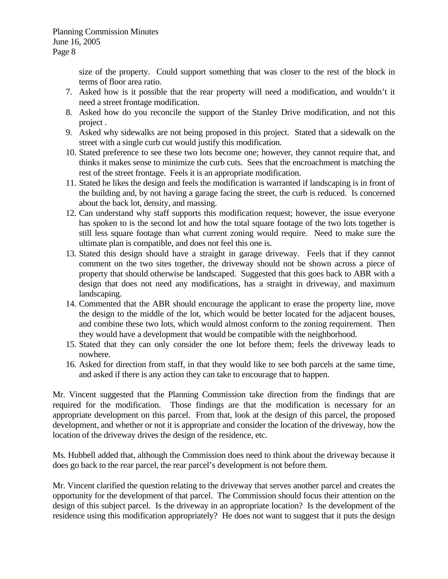size of the property. Could support something that was closer to the rest of the block in terms of floor area ratio.

- 7. Asked how is it possible that the rear property will need a modification, and wouldn't it need a street frontage modification.
- 8. Asked how do you reconcile the support of the Stanley Drive modification, and not this project .
- 9. Asked why sidewalks are not being proposed in this project. Stated that a sidewalk on the street with a single curb cut would justify this modification.
- 10. Stated preference to see these two lots become one; however, they cannot require that, and thinks it makes sense to minimize the curb cuts. Sees that the encroachment is matching the rest of the street frontage. Feels it is an appropriate modification.
- 11. Stated he likes the design and feels the modification is warranted if landscaping is in front of the building and, by not having a garage facing the street, the curb is reduced. Is concerned about the back lot, density, and massing.
- 12. Can understand why staff supports this modification request; however, the issue everyone has spoken to is the second lot and how the total square footage of the two lots together is still less square footage than what current zoning would require. Need to make sure the ultimate plan is compatible, and does not feel this one is.
- 13. Stated this design should have a straight in garage driveway. Feels that if they cannot comment on the two sites together, the driveway should not be shown across a piece of property that should otherwise be landscaped. Suggested that this goes back to ABR with a design that does not need any modifications, has a straight in driveway, and maximum landscaping.
- 14. Commented that the ABR should encourage the applicant to erase the property line, move the design to the middle of the lot, which would be better located for the adjacent houses, and combine these two lots, which would almost conform to the zoning requirement. Then they would have a development that would be compatible with the neighborhood.
- 15. Stated that they can only consider the one lot before them; feels the driveway leads to nowhere.
- 16. Asked for direction from staff, in that they would like to see both parcels at the same time, and asked if there is any action they can take to encourage that to happen.

Mr. Vincent suggested that the Planning Commission take direction from the findings that are required for the modification. Those findings are that the modification is necessary for an appropriate development on this parcel. From that, look at the design of this parcel, the proposed development, and whether or not it is appropriate and consider the location of the driveway, how the location of the driveway drives the design of the residence, etc.

Ms. Hubbell added that, although the Commission does need to think about the driveway because it does go back to the rear parcel, the rear parcel's development is not before them.

Mr. Vincent clarified the question relating to the driveway that serves another parcel and creates the opportunity for the development of that parcel. The Commission should focus their attention on the design of this subject parcel. Is the driveway in an appropriate location? Is the development of the residence using this modification appropriately? He does not want to suggest that it puts the design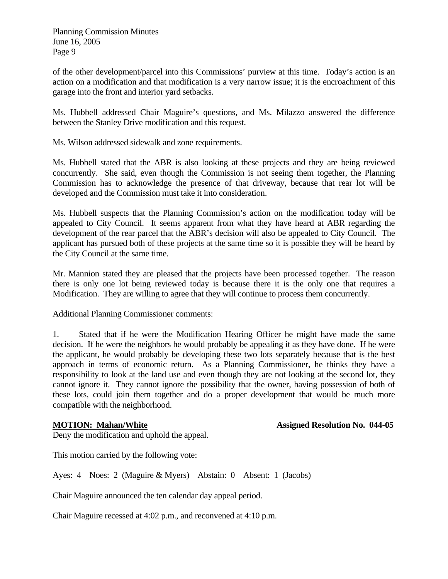of the other development/parcel into this Commissions' purview at this time. Today's action is an action on a modification and that modification is a very narrow issue; it is the encroachment of this garage into the front and interior yard setbacks.

Ms. Hubbell addressed Chair Maguire's questions, and Ms. Milazzo answered the difference between the Stanley Drive modification and this request.

Ms. Wilson addressed sidewalk and zone requirements.

Ms. Hubbell stated that the ABR is also looking at these projects and they are being reviewed concurrently. She said, even though the Commission is not seeing them together, the Planning Commission has to acknowledge the presence of that driveway, because that rear lot will be developed and the Commission must take it into consideration.

Ms. Hubbell suspects that the Planning Commission's action on the modification today will be appealed to City Council. It seems apparent from what they have heard at ABR regarding the development of the rear parcel that the ABR's decision will also be appealed to City Council. The applicant has pursued both of these projects at the same time so it is possible they will be heard by the City Council at the same time.

Mr. Mannion stated they are pleased that the projects have been processed together. The reason there is only one lot being reviewed today is because there it is the only one that requires a Modification. They are willing to agree that they will continue to process them concurrently.

Additional Planning Commissioner comments:

1. Stated that if he were the Modification Hearing Officer he might have made the same decision. If he were the neighbors he would probably be appealing it as they have done. If he were the applicant, he would probably be developing these two lots separately because that is the best approach in terms of economic return. As a Planning Commissioner, he thinks they have a responsibility to look at the land use and even though they are not looking at the second lot, they cannot ignore it. They cannot ignore the possibility that the owner, having possession of both of these lots, could join them together and do a proper development that would be much more compatible with the neighborhood.

**MOTION: Mahan/White**  Assigned Resolution No. 044-05

Deny the modification and uphold the appeal.

This motion carried by the following vote:

Ayes: 4 Noes: 2 (Maguire & Myers) Abstain: 0 Absent: 1 (Jacobs)

Chair Maguire announced the ten calendar day appeal period.

Chair Maguire recessed at 4:02 p.m., and reconvened at 4:10 p.m.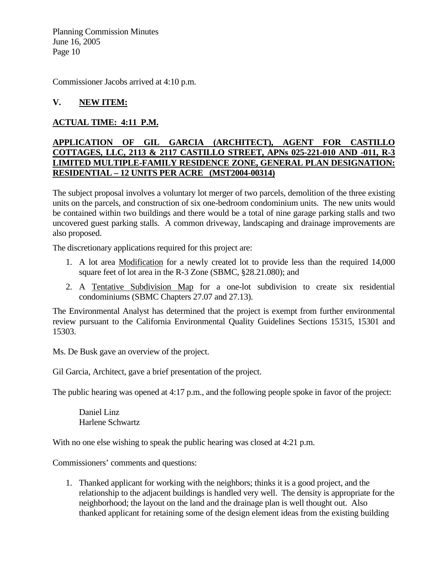Commissioner Jacobs arrived at 4:10 p.m.

### **V. NEW ITEM:**

#### **ACTUAL TIME: 4:11 P.M.**

#### **APPLICATION OF GIL GARCIA (ARCHITECT), AGENT FOR CASTILLO COTTAGES, LLC, 2113 & 2117 CASTILLO STREET, APNs 025-221-010 AND -011, R-3 LIMITED MULTIPLE-FAMILY RESIDENCE ZONE, GENERAL PLAN DESIGNATION: RESIDENTIAL – 12 UNITS PER ACRE (MST2004-00314)**

The subject proposal involves a voluntary lot merger of two parcels, demolition of the three existing units on the parcels, and construction of six one-bedroom condominium units. The new units would be contained within two buildings and there would be a total of nine garage parking stalls and two uncovered guest parking stalls. A common driveway, landscaping and drainage improvements are also proposed.

The discretionary applications required for this project are:

- 1. A lot area Modification for a newly created lot to provide less than the required 14,000 square feet of lot area in the R-3 Zone (SBMC, §28.21.080); and
- 2. A Tentative Subdivision Map for a one-lot subdivision to create six residential condominiums (SBMC Chapters 27.07 and 27.13).

The Environmental Analyst has determined that the project is exempt from further environmental review pursuant to the California Environmental Quality Guidelines Sections 15315, 15301 and 15303.

Ms. De Busk gave an overview of the project.

Gil Garcia, Architect, gave a brief presentation of the project.

The public hearing was opened at 4:17 p.m., and the following people spoke in favor of the project:

Daniel Linz Harlene Schwartz

With no one else wishing to speak the public hearing was closed at 4:21 p.m.

Commissioners' comments and questions:

1. Thanked applicant for working with the neighbors; thinks it is a good project, and the relationship to the adjacent buildings is handled very well. The density is appropriate for the neighborhood; the layout on the land and the drainage plan is well thought out. Also thanked applicant for retaining some of the design element ideas from the existing building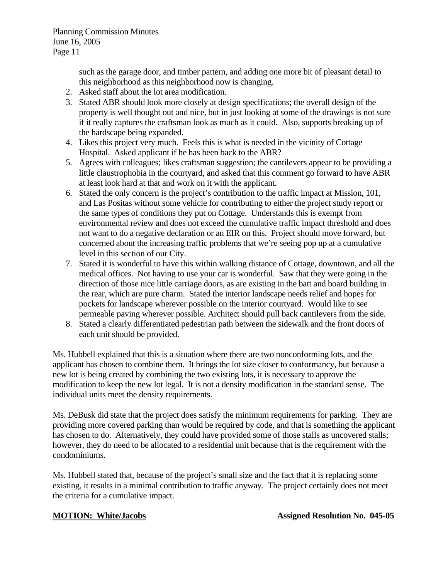such as the garage door, and timber pattern, and adding one more bit of pleasant detail to this neighborhood as this neighborhood now is changing.

- 2. Asked staff about the lot area modification.
- 3. Stated ABR should look more closely at design specifications; the overall design of the property is well thought out and nice, but in just looking at some of the drawings is not sure if it really captures the craftsman look as much as it could. Also, supports breaking up of the hardscape being expanded.
- 4. Likes this project very much. Feels this is what is needed in the vicinity of Cottage Hospital. Asked applicant if he has been back to the ABR?
- 5. Agrees with colleagues; likes craftsman suggestion; the cantilevers appear to be providing a little claustrophobia in the courtyard, and asked that this comment go forward to have ABR at least look hard at that and work on it with the applicant.
- 6. Stated the only concern is the project's contribution to the traffic impact at Mission, 101, and Las Positas without some vehicle for contributing to either the project study report or the same types of conditions they put on Cottage. Understands this is exempt from environmental review and does not exceed the cumulative traffic impact threshold and does not want to do a negative declaration or an EIR on this. Project should move forward, but concerned about the increasing traffic problems that we're seeing pop up at a cumulative level in this section of our City.
- 7. Stated it is wonderful to have this within walking distance of Cottage, downtown, and all the medical offices. Not having to use your car is wonderful. Saw that they were going in the direction of those nice little carriage doors, as are existing in the batt and board building in the rear, which are pure charm. Stated the interior landscape needs relief and hopes for pockets for landscape wherever possible on the interior courtyard. Would like to see permeable paving wherever possible. Architect should pull back cantilevers from the side.
- 8. Stated a clearly differentiated pedestrian path between the sidewalk and the front doors of each unit should be provided.

Ms. Hubbell explained that this is a situation where there are two nonconforming lots, and the applicant has chosen to combine them. It brings the lot size closer to conformancy, but because a new lot is being created by combining the two existing lots, it is necessary to approve the modification to keep the new lot legal. It is not a density modification in the standard sense. The individual units meet the density requirements.

Ms. DeBusk did state that the project does satisfy the minimum requirements for parking. They are providing more covered parking than would be required by code, and that is something the applicant has chosen to do. Alternatively, they could have provided some of those stalls as uncovered stalls; however, they do need to be allocated to a residential unit because that is the requirement with the condominiums.

Ms. Hubbell stated that, because of the project's small size and the fact that it is replacing some existing, it results in a minimal contribution to traffic anyway. The project certainly does not meet the criteria for a cumulative impact.

**MOTION: White/Jacobs Assigned Resolution No. 045-05**